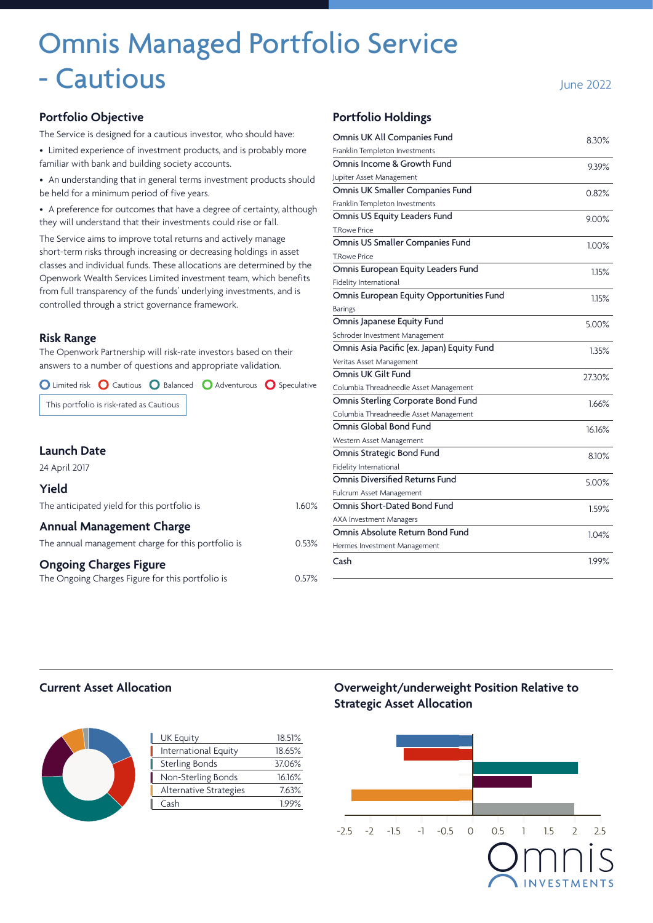# Omnis Managed Portfolio Service - Cautious **June 2022**

#### **Portfolio Objective**

The Service is designed for a cautious investor, who should have:

• Limited experience of investment products, and is probably more familiar with bank and building society accounts.

• An understanding that in general terms investment products should be held for a minimum period of five years.

• A preference for outcomes that have a degree of certainty, although they will understand that their investments could rise or fall.

The Service aims to improve total returns and actively manage short-term risks through increasing or decreasing holdings in asset classes and individual funds. These allocations are determined by the Openwork Wealth Services Limited investment team, which benefits from full transparency of the funds' underlying investments, and is controlled through a strict governance framework.

#### **Risk Range**

The Openwork Partnership will risk-rate investors based on their answers to a number of questions and appropriate validation.

O Limited risk O Cautious O Balanced O Adventurous O Speculative

This portfolio is risk-rated as Cautious

| <b>Launch Date</b>                                 |       |
|----------------------------------------------------|-------|
| 24 April 2017                                      |       |
| Yield                                              |       |
| The anticipated yield for this portfolio is        | 1.60% |
| <b>Annual Management Charge</b>                    |       |
| The annual management charge for this portfolio is | 0.53% |
| <b>Ongoing Charges Figure</b>                      |       |
| The Ongoing Charges Figure for this portfolio is   | 0.57% |

#### **Portfolio Holdings**

| Omnis UK All Companies Fund                | 8.30%    |
|--------------------------------------------|----------|
| Franklin Templeton Investments             |          |
| Omnis Income & Growth Fund                 | 9.39%    |
| Jupiter Asset Management                   |          |
| Omnis UK Smaller Companies Fund            | 0.82%    |
| Franklin Templeton Investments             |          |
| Omnis US Equity Leaders Fund               | 9.00%    |
| <b>T.Rowe Price</b>                        |          |
| Omnis US Smaller Companies Fund            | $1.00\%$ |
| <b>T.Rowe Price</b>                        |          |
| Omnis European Equity Leaders Fund         | 1.15%    |
| Fidelity International                     |          |
| Omnis European Equity Opportunities Fund   | 1.15%    |
| <b>Barings</b>                             |          |
| Omnis Japanese Equity Fund                 | 5.00%    |
| Schroder Investment Management             |          |
| Omnis Asia Pacific (ex. Japan) Equity Fund | 1.35%    |
| Veritas Asset Management                   |          |
| Omnis UK Gilt Fund                         | 27.30%   |
| Columbia Threadneedle Asset Management     |          |
| Omnis Sterling Corporate Bond Fund         | 1.66%    |
| Columbia Threadneedle Asset Management     |          |
| Omnis Global Bond Fund                     | 16.16%   |
| Western Asset Management                   |          |
| Omnis Strategic Bond Fund                  | 8.10%    |
| Fidelity International                     |          |
| Omnis Diversified Returns Fund             | 5.00%    |
| Fulcrum Asset Management                   |          |
| Omnis Short-Dated Bond Fund                | 1.59%    |
| <b>AXA Investment Managers</b>             |          |
|                                            |          |
| Omnis Absolute Return Bond Fund            | 1.04%    |
| Hermes Investment Management               |          |
| Cash                                       | 1.99%    |

#### **Current Asset Allocation**



| <b>UK Equity</b>       | 18.51% |
|------------------------|--------|
| International Equity   | 18.65% |
| <b>Sterling Bonds</b>  | 37.06% |
| Non-Sterling Bonds     | 16.16% |
| Alternative Strategies | 7.63%  |
| Cash                   | 1.99%  |
|                        |        |

**Overweight/underweight Position Relative to Strategic Asset Allocation**